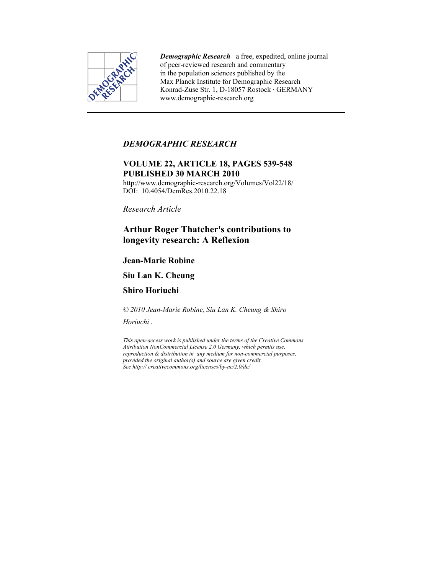

*Demographic Research* a free, expedited, online journal of peer-reviewed research and commentary in the population sciences published by the Max Planck Institute for Demographic Research Konrad-Zuse Str. 1, D-18057 Rostock · GERMANY www.demographic-research.org

### *DEMOGRAPHIC RESEARCH*

## **VOLUME 22, ARTICLE 18, PAGES 539-548 PUBLISHED 30 MARCH 2010**

http://www.demographic-research.org/Volumes/Vol22/18/ DOI: 10.4054/DemRes. 2010.22.18

*Research Article* 

# **Arthur Roger Thatcher's contributions to longevity research: A Reflexion**

## **Jean-Marie Robine**

## **Siu Lan K. Cheung**

## **Shiro Horiuchi**

*© 2010 Jean-Marie Robine, Siu Lan K. Cheung & Shiro* 

*Horiuchi .* 

*This open-access work is published under the terms of the Creative Commons Attribution NonCommercial License 2.0 Germany, which permits use, reproduction & distribution in any medium for non-commercial purposes, provided the original author(s) and source are given credit. See http:// creativecommons.org/licenses/by-nc/2.0/de/*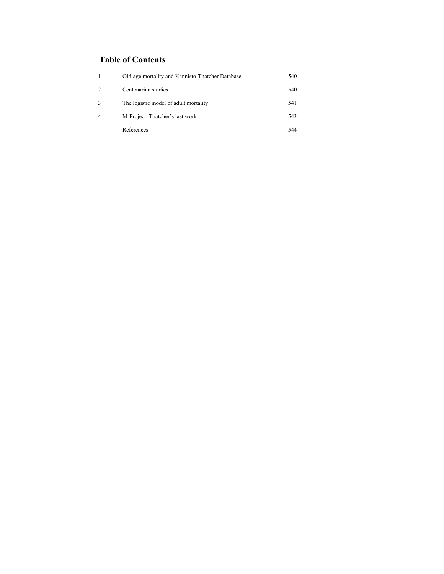# **Table of Contents**

|                | Old-age mortality and Kannisto-Thatcher Database | 540 |
|----------------|--------------------------------------------------|-----|
| $\mathfrak{D}$ | Centenarian studies                              | 540 |
| 3              | The logistic model of adult mortality            | 541 |
| $\overline{4}$ | M-Project: Thatcher's last work                  | 543 |
|                | References                                       | 544 |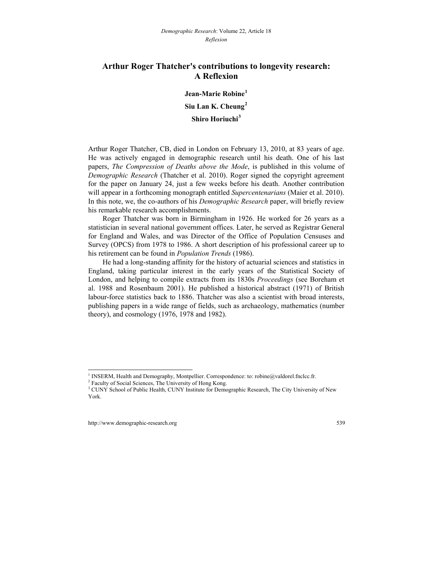#### **Arthur Roger Thatcher's contributions to longevity research: A Reflexion**

**Jean-Marie Robine[1](#page-2-0) Siu Lan K. Cheung[2](#page-2-1) Shiro Horiuchi[3](#page-2-2)**

Arthur Roger Thatcher, CB, died in London on February 13, 2010, at 83 years of age. He was actively engaged in demographic research until his death. One of his last papers, *The Compression of Deaths above the Mode*, is published in this volume of *Demographic Research* (Thatcher et al. 2010). Roger signed the copyright agreement for the paper on January 24, just a few weeks before his death. Another contribution will appear in a forthcoming monograph entitled *Supercentenarians* (Maier et al. 2010). In this note, we, the co-authors of his *Demographic Research* paper, will briefly review his remarkable research accomplishments.

Roger Thatcher was born in Birmingham in 1926. He worked for 26 years as a statistician in several national government offices. Later, he served as Registrar General for England and Wales, and was Director of the Office of Population Censuses and Survey (OPCS) from 1978 to 1986. A short description of his professional career up to his retirement can be found in *Population Trends* (1986).

He had a long-standing affinity for the history of actuarial sciences and statistics in England, taking particular interest in the early years of the Statistical Society of London, and helping to compile extracts from its 1830s *Proceedings* (see Boreham et al. 1988 and Rosenbaum 2001). He published a historical abstract (1971) of British labour-force statistics back to 1886. Thatcher was also a scientist with broad interests, publishing papers in a wide range of fields, such as archaeology, mathematics (number theory), and cosmology (1976, 1978 and 1982).

<sup>&</sup>lt;sup>1</sup> INSERM, Health and Demography, Montpellier. Correspondence: to: [robine@valdorel.fnclcc.fr](mailto:robine@valdorel.fnclcc.fr).  $^{2}$  Equalty of Social Sciences. The University of Hong Kong

<sup>&</sup>lt;sup>2</sup> Faculty of Social Sciences, The University of Hong Kong.

<span id="page-2-2"></span><span id="page-2-1"></span><span id="page-2-0"></span><sup>&</sup>lt;sup>3</sup> CUNY School of Public Health, CUNY Institute for Demographic Research, The City University of New York.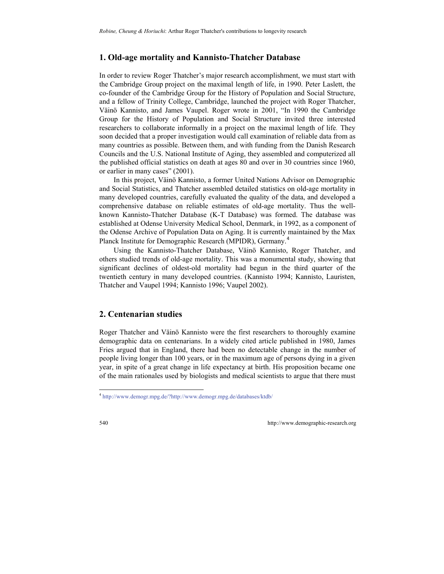#### **1. Old-age mortality and Kannisto-Thatcher Database**

In order to review Roger Thatcher's major research accomplishment, we must start with the Cambridge Group project on the maximal length of life, in 1990. Peter Laslett, the co-founder of the Cambridge Group for the History of Population and Social Structure, and a fellow of Trinity College, Cambridge, launched the project with Roger Thatcher, Väinö Kannisto, and James Vaupel. Roger wrote in 2001, "In 1990 the Cambridge Group for the History of Population and Social Structure invited three interested researchers to collaborate informally in a project on the maximal length of life*.* They soon decided that a proper investigation would call examination of reliable data from as many countries as possible. Between them, and with funding from the Danish Research Councils and the U.S. National Institute of Aging, they assembled and computerized all the published official statistics on death at ages 80 and over in 30 countries since 1960, or earlier in many cases" (2001).

In this project, Väinö Kannisto, a former United Nations Advisor on Demographic and Social Statistics, and Thatcher assembled detailed statistics on old-age mortality in many developed countries, carefully evaluated the quality of the data, and developed a comprehensive database on reliable estimates of old-age mortality. Thus the wellknown Kannisto-Thatcher Database (K-T Database) was formed. The database was established at Odense University Medical School, Denmark, in 1992, as a component of the Odense Archive of Population Data on Aging. It is currently maintained by the Max Planck Institute for Demographic Research (MPIDR), Germany.<sup>[4](#page-3-0)</sup>

Using the Kannisto-Thatcher Database, Väinö Kannisto, Roger Thatcher, and others studied trends of old-age mortality. This was a monumental study, showing that significant declines of oldest-old mortality had begun in the third quarter of the twentieth century in many developed countries. (Kannisto 1994; Kannisto, Lauristen, Thatcher and Vaupel 1994; Kannisto 1996; Vaupel 2002).

### **2. Centenarian studies**

Roger Thatcher and Väinö Kannisto were the first researchers to thoroughly examine demographic data on centenarians. In a widely cited article published in 1980, James Fries argued that in England, there had been no detectable change in the number of people living longer than 100 years, or in the maximum age of persons dying in a given year, in spite of a great change in life expectancy at birth. His proposition became one of the main rationales used by biologists and medical scientists to argue that there must

<span id="page-3-0"></span><sup>4</sup> <http://www.demogr.mpg.de/?http://www.demogr.mpg.de/databases/ktdb/>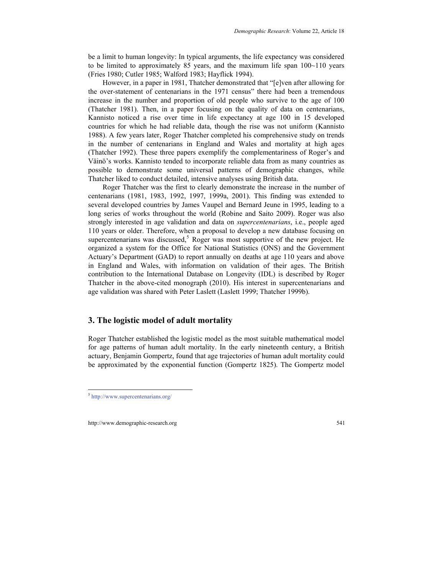be a limit to human longevity: In typical arguments, the life expectancy was considered to be limited to approximately 85 years, and the maximum life span  $100~110$  years (Fries 1980; Cutler 1985; Walford 1983; Hayflick 1994).

However, in a paper in 1981, Thatcher demonstrated that "[e]ven after allowing for the over-statement of centenarians in the 1971 census" there had been a tremendous increase in the number and proportion of old people who survive to the age of 100 (Thatcher 1981). Then, in a paper focusing on the quality of data on centenarians, Kannisto noticed a rise over time in life expectancy at age 100 in 15 developed countries for which he had reliable data, though the rise was not uniform (Kannisto 1988). A few years later, Roger Thatcher completed his comprehensive study on trends in the number of centenarians in England and Wales and mortality at high ages (Thatcher 1992). These three papers exemplify the complementariness of Roger's and Väinö's works. Kannisto tended to incorporate reliable data from as many countries as possible to demonstrate some universal patterns of demographic changes, while Thatcher liked to conduct detailed, intensive analyses using British data.

Roger Thatcher was the first to clearly demonstrate the increase in the number of centenarians (1981, 1983, 1992, 1997, 1999a, 2001). This finding was extended to several developed countries by James Vaupel and Bernard Jeune in 1995, leading to a long series of works throughout the world (Robine and Saito 2009). Roger was also strongly interested in age validation and data on *supercentenarians*, i.e., people aged 110 years or older. Therefore, when a proposal to develop a new database focusing on supercentenarians was discussed, $5$  Roger was most supportive of the new project. He organized a system for the Office for National Statistics (ONS) and the Government Actuary's Department (GAD) to report annually on deaths at age 110 years and above in England and Wales, with information on validation of their ages. The British contribution to the International Database on Longevity (IDL) is described by Roger Thatcher in the above-cited monograph (2010). His interest in supercentenarians and age validation was shared with Peter Laslett (Laslett 1999; Thatcher 1999b).

#### **3. The logistic model of adult mortality**

Roger Thatcher established the logistic model as the most suitable mathematical model for age patterns of human adult mortality. In the early nineteenth century, a British actuary, Benjamin Gompertz, found that age trajectories of human adult mortality could be approximated by the exponential function (Gompertz 1825). The Gompertz model

<span id="page-4-0"></span><sup>5</sup> <http://www.supercentenarians.org/>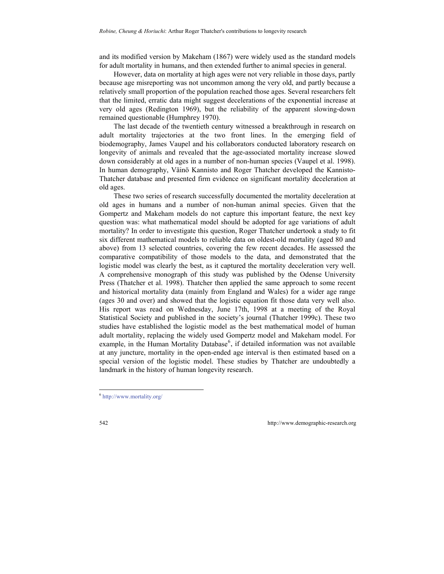and its modified version by Makeham (1867) were widely used as the standard models for adult mortality in humans, and then extended further to animal species in general.

However, data on mortality at high ages were not very reliable in those days, partly because age misreporting was not uncommon among the very old, and partly because a relatively small proportion of the population reached those ages. Several researchers felt that the limited, erratic data might suggest decelerations of the exponential increase at very old ages (Redington 1969), but the reliability of the apparent slowing-down remained questionable (Humphrey 1970).

The last decade of the twentieth century witnessed a breakthrough in research on adult mortality trajectories at the two front lines. In the emerging field of biodemography, James Vaupel and his collaborators conducted laboratory research on longevity of animals and revealed that the age-associated mortality increase slowed down considerably at old ages in a number of non-human species (Vaupel et al. 1998). In human demography, Väinö Kannisto and Roger Thatcher developed the Kannisto-Thatcher database and presented firm evidence on significant mortality deceleration at old ages.

These two series of research successfully documented the mortality deceleration at old ages in humans and a number of non-human animal species. Given that the Gompertz and Makeham models do not capture this important feature, the next key question was: what mathematical model should be adopted for age variations of adult mortality? In order to investigate this question, Roger Thatcher undertook a study to fit six different mathematical models to reliable data on oldest-old mortality (aged 80 and above) from 13 selected countries, covering the few recent decades. He assessed the comparative compatibility of those models to the data, and demonstrated that the logistic model was clearly the best, as it captured the mortality deceleration very well. A comprehensive monograph of this study was published by the Odense University Press (Thatcher et al. 1998). Thatcher then applied the same approach to some recent and historical mortality data (mainly from England and Wales) for a wider age range (ages 30 and over) and showed that the logistic equation fit those data very well also. His report was read on Wednesday, June 17th, 1998 at a meeting of the Royal Statistical Society and published in the society's journal (Thatcher 1999c). These two studies have established the logistic model as the best mathematical model of human adult mortality, replacing the widely used Gompertz model and Makeham model. For example, in the Human Mortality Database<sup>[6](#page-5-0)</sup>, if detailed information was not available at any juncture, mortality in the open-ended age interval is then estimated based on a special version of the logistic model. These studies by Thatcher are undoubtedly a landmark in the history of human longevity research.

<span id="page-5-0"></span><sup>6</sup> <http://www.mortality.org/>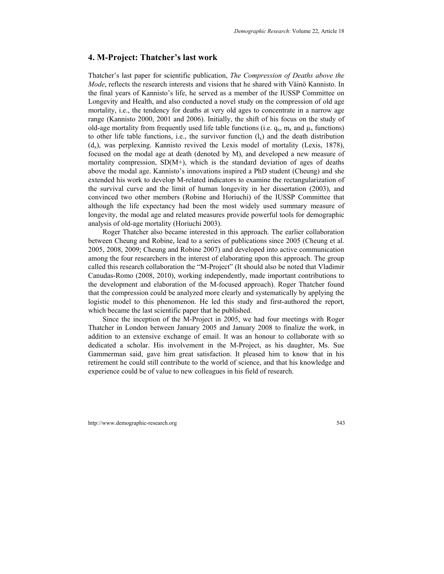#### **4. M-Project: Thatcher's last work**

Thatcher's last paper for scientific publication, *The Compression of Deaths above the Mode*, reflects the research interests and visions that he shared with Väinö Kannisto. In the final years of Kannisto's life, he served as a member of the IUSSP Committee on Longevity and Health, and also conducted a novel study on the compression of old age mortality, i.e., the tendency for deaths at very old ages to concentrate in a narrow age range (Kannisto 2000, 2001 and 2006). Initially, the shift of his focus on the study of old-age mortality from frequently used life table functions (i.e.  $q_x$ ,  $m_x$  and  $\mu_x$  functions) to other life table functions, i.e., the survivor function  $(l_x)$  and the death distribution  $(d_x)$ , was perplexing. Kannisto revived the Lexis model of mortality (Lexis, 1878), focused on the modal age at death (denoted by M), and developed a new measure of mortality compression,  $SD(M+)$ , which is the standard deviation of ages of deaths above the modal age. Kannisto's innovations inspired a PhD student (Cheung) and she extended his work to develop M-related indicators to examine the rectangularization of the survival curve and the limit of human longevity in her dissertation (2003), and convinced two other members (Robine and Horiuchi) of the IUSSP Committee that although the life expectancy had been the most widely used summary measure of longevity, the modal age and related measures provide powerful tools for demographic analysis of old-age mortality (Horiuchi 2003).

Roger Thatcher also became interested in this approach. The earlier collaboration between Cheung and Robine, lead to a series of publications since 2005 (Cheung et al. 2005, 2008, 2009; Cheung and Robine 2007) and developed into active communication among the four researchers in the interest of elaborating upon this approach. The group called this research collaboration the "M-Project" (It should also be noted that Vladimir Canudas-Romo (2008, 2010), working independently, made important contributions to the development and elaboration of the M-focused approach). Roger Thatcher found that the compression could be analyzed more clearly and systematically by applying the logistic model to this phenomenon. He led this study and first-authored the report, which became the last scientific paper that he published.

Since the inception of the M-Project in 2005, we had four meetings with Roger Thatcher in London between January 2005 and January 2008 to finalize the work, in addition to an extensive exchange of email. It was an honour to collaborate with so dedicated a scholar. His involvement in the M-Project, as his daughter, Ms. Sue Gammerman said, gave him great satisfaction. It pleased him to know that in his retirement he could still contribute to the world of science, and that his knowledge and experience could be of value to new colleagues in his field of research.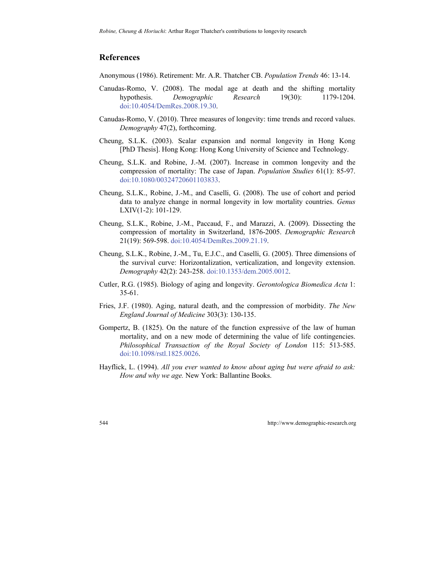### **References**

Anonymous (1986). Retirement: Mr. A.R. Thatcher CB. *Population Trends* 46: 13-14.

- Canudas-Romo, V. (2008). The modal age at death and the shifting mortality hypothesis. *Demographic Research* 19(30): 1179-1204. [doi:10.4054/DemRes.2008.19.30](http://dx.doi.org/10.4054/DemRes.2008.19.30).
- Canudas-Romo, V. (2010). Three measures of longevity: time trends and record values. *Demography* 47(2), forthcoming.
- Cheung, S.L.K. (2003). Scalar expansion and normal longevity in Hong Kong [PhD Thesis]. Hong Kong: Hong Kong University of Science and Technology.
- Cheung, S.L.K. and Robine, J.-M. (2007). Increase in common longevity and the compression of mortality: The case of Japan. *Population Studies* 61(1): 85-97. [doi:10.1080/00324720601103833](http://dx.doi.org/10.1080/00324720601103833).
- Cheung, S.L.K., Robine, J.-M., and Caselli, G. (2008). The use of cohort and period data to analyze change in normal longevity in low mortality countries. *Genus*  LXIV(1-2): 101-129.
- Cheung, S.L.K., Robine, J.-M., Paccaud, F., and Marazzi, A. (2009). Dissecting the compression of mortality in Switzerland, 1876-2005. *Demographic Research*  21(19): 569-598. [doi:10.4054/DemRes.2009.21.19](http://dx.doi.org/10.4054/DemRes.2009.21.19).
- Cheung, S.L.K., Robine, J.-M., Tu, E.J.C., and Caselli, G. (2005). Three dimensions of the survival curve: Horizontalization, verticalization, and longevity extension. *Demography* 42(2): 243-258. [doi:10.1353/dem.2005.0012](http://dx.doi.org/10.1353/dem.2005.0012).
- Cutler, R.G. (1985). Biology of aging and longevity. *Gerontologica Biomedica Acta* 1: 35-61.
- Fries, J.F. (1980). Aging, natural death, and the compression of morbidity. *The New England Journal of Medicine* 303(3): 130-135.
- Gompertz, B. (1825). On the nature of the function expressive of the law of human mortality, and on a new mode of determining the value of life contingencies. *Philosophical Transaction of the Royal Society of London* 115: 513-585. [doi:10.1098/rstl.1825.0026.](http://dx.doi.org/10.1098/rstl.1825.0026)
- Hayflick, L. (1994). *All you ever wanted to know about aging but were afraid to ask: How and why we age.* New York: Ballantine Books.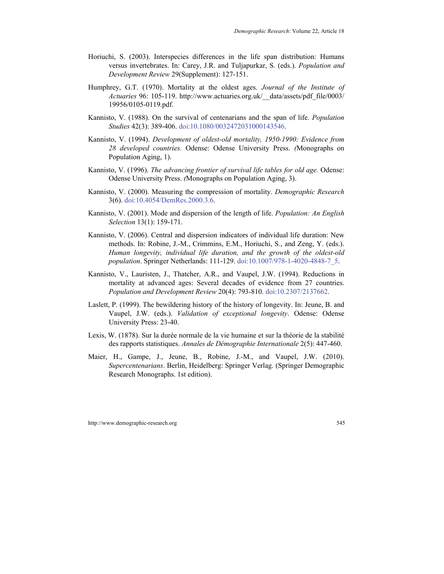- Horiuchi, S. (2003). Interspecies differences in the life span distribution: Humans versus invertebrates. In: Carey, J.R. and Tuljapurkar, S. (eds.). *Population and Development Review* 29(Supplement): 127-151.
- Humphrey, G.T. (1970). Mortality at the oldest ages. *Journal of the Institute of Actuaries* 96: 105-119. [http://www.actuaries.org.uk/\\_\\_data/assets/pdf\\_file/0003/](http://www.actuaries.org.uk/__data/assets/pdf_file/0003/19956/0105-0119.pdf)  [19956/0105-0119.pdf.](http://www.actuaries.org.uk/__data/assets/pdf_file/0003/19956/0105-0119.pdf)
- Kannisto, V. (1988). On the survival of centenarians and the span of life. *Population Studies* 42(3): 389-406. [doi:10.1080/0032472031000143546](http://dx.doi.org/10.1080/0032472031000143546).
- Kannisto, V. (1994). *Development of oldest-old mortality, 1950-1990: Evidence from 28 developed countries.* Odense: Odense University Press. *(*Monographs on Population Aging, 1).
- Kannisto, V. (1996). *The advancing frontier of survival life tables for old age.* Odense: Odense University Press. *(*Monographs on Population Aging, 3).
- Kannisto, V. (2000). Measuring the compression of mortality. *Demographic Research* 3(6). [doi:10.4054/DemRes.2000.3.6](http://dx.doi.org/10.4054/DemRes.2000.3.6).
- Kannisto, V. (2001). Mode and dispersion of the length of life. *Population: An English Selection* 13(1): 159-171.
- Kannisto, V. (2006). Central and dispersion indicators of individual life duration: New methods. In: Robine, J.-M., Crimmins, E.M., Horiuchi, S., and Zeng, Y. (eds.). *Human longevity, individual life duration, and the growth of the oldest-old population*. Springer Netherlands: 111-129. [doi:10.1007/978-1-4020-4848-7\\_5](http://dx.doi.org/10.1007/978-1-4020-4848-7_5).
- Kannisto, V., Lauristen, J., Thatcher, A.R., and Vaupel, J.W. (1994). Reductions in mortality at advanced ages: Several decades of evidence from 27 countries. *Population and Development Review* 20(4): 793-810. [doi:10.2307/2137662.](http://dx.doi.org/10.2307/2137662)
- Laslett, P. (1999). The bewildering history of the history of longevity. In: Jeune, B. and Vaupel, J.W. (eds.). *Validation of exceptional longevity*. Odense: Odense University Press: 23-40.
- Lexis, W. (1878). Sur la durée normale de la vie humaine et sur la théorie de la stabilité des rapports statistiques. *Annales de Démographie Internationale* 2(5): 447-460.
- Maier, H., Gampe, J., Jeune, B., Robine, J.-M., and Vaupel, J.W. (2010). *Supercentenarians*. Berlin, Heidelberg: Springer Verlag. (Springer [Demographic](http://www.springer.com/series/5521)  [Research Monographs.](http://www.springer.com/series/5521) 1st edition).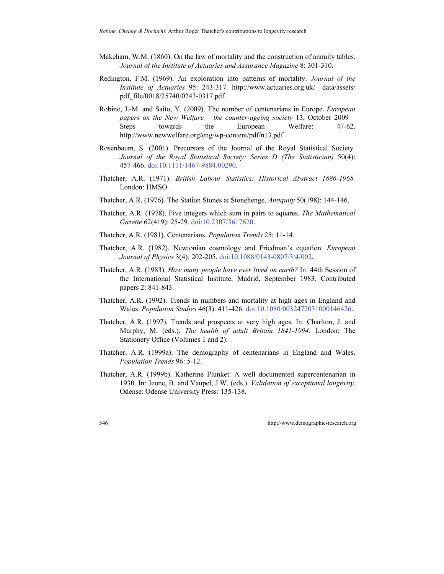- Makeham, W.M. (1860). On the law of mortality and the construction of annuity tables. *Journal of the Institute of Actuaries and Assurance Magazine* 8: 301-310.
- Redington, F.M. (1969). An exploration into patterns of mortality. *Journal of the Institute of Actuaries* 95: 243-317. [http://www.actuaries.org.uk/\\_\\_data/assets/](http://www.actuaries.org.uk/__data/assets/pdf_file/0018/25740/0243-0317.pdf)  [pdf\\_file/0018/25740/0243-0317.pdf](http://www.actuaries.org.uk/__data/assets/pdf_file/0018/25740/0243-0317.pdf).
- Robine, J.-M. and Saito, Y. (2009). The number of centenarians in Europe. *European papers on the New Welfare* – *the counter-ageing society* 13, October 2009 – Steps towards the European Welfare: 47-62. <http://www.newwelfare.org/eng/wp-content/pdf/n13.pdf>.
- Rosenbaum, S. (2001). Precursors of the Journal of the Royal Statistical Society*. [Journal of the Royal Statistical Society: Series D \(The Statistician\)](http://www3.interscience.wiley.com/journal/120094253/home)* 50(4): 457-466. [doi:10.1111/1467-9884.00290](http://dx.doi.org/10.1111/1467-9884.00290).
- Thatcher, A.R. (1971). *British Labour Statistics: Historical Abstract 1886-1968.* London: HMSO.
- Thatcher, A.R. (1976). The Station Stones at Stonehenge. *Antiquity* 50(198): 144-146.
- Thatcher, A.R. (1978). Five integers which sum in pairs to squares. *The Mathematical Gazette* 62(419): 25-29. [doi:10.2307/3617620](http://dx.doi.org/10.2307/3617620).
- Thatcher, A.R. (1981). Centenarians. *Population Trends* 25: 11-14.
- Thatcher, A.R. (1982). Newtonian cosmology and Friedman's equation. *European Journal of Physics* 3(4): 202-205. [doi:10.1088/0143-0807/3/4/002.](http://dx.doi.org/10.1088/0143-0807/3/4/002)
- Thatcher, A.R. (1983). *How many people have ever lived on earth?* In: 44th Session of the International Statistical Institute, Madrid, September 1983. Contributed papers 2: 841-843.
- Thatcher, A.R. (1992). Trends in numbers and mortality at high ages in England and Wales. *Population Studies* 46(3): 411-426. [doi:10.1080/0032472031000146426.](http://dx.doi.org/10.1080/0032472031000146426)
- Thatcher, A.R. (1997). Trends and prospects at very high ages. In: Charlton, J. and Murphy, M. (eds.). *The health of adult Britain 1841-1994*. London: The Stationery Office (Volumes 1 and 2).
- Thatcher, A.R. (1999a). The demography of centenarians in England and Wales. *Population Trends* 96: 5-12.
- Thatcher, A.R. (1999b). Katherine Plunket: A well documented supercentenarian in 1930. In: Jeune, B. and Vaupel, J.W. (eds.). *Validation of exceptional longevity*. Odense: Odense University Press: 135-138.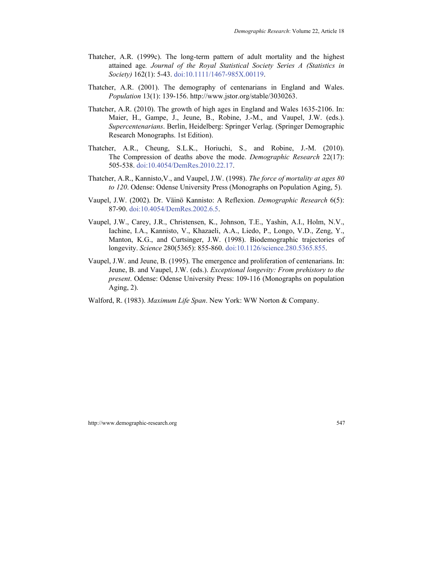- Thatcher, A.R. (1999c). The long-term pattern of adult mortality and the highest attained age*. Journal of the Royal Statistical Society Series A (Statistics in Society)* 162(1): 5-43. [doi:10.1111/1467-985X.00119.](http://dx.doi.org/10.1111/1467-985X.00119)
- Thatcher, A.R. (2001). The demography of centenarians in England and Wales. *Population* 13(1): 139-156. [http://www.jstor.org/stable/3030263.](http://www.jstor.org/stable/3030263)
- Thatcher, A.R. (2010). The growth of high ages in England and Wales 1635-2106. In: Maier, H., Gampe, J., Jeune, B., Robine, J.-M., and Vaupel, J.W. (eds.). *Supercentenarians*. Berlin, Heidelberg: Springer Verlag. (Springer [Demographic](http://www.springer.com/series/5521)  [Research Monographs.](http://www.springer.com/series/5521) 1st Edition).
- Thatcher, A.R., Cheung, S.L.K., Horiuchi, S., and Robine, J.-M. (2010). The Compression of deaths above the mode. *Demographic Research* 22(17): 505-538. [doi:10.4054/DemRes.2010.22.17.](http://dx.doi.org/10.4054/DemRes.2010.22.17)
- Thatcher, A.R., Kannisto,V., and Vaupel, J.W. (1998). *The force of mortality at ages 80 to 120*. Odense: Odense University Press (Monographs on Population Aging, 5).
- Vaupel, J.W. (2002). Dr. Väinö Kannisto: A Reflexion. *Demographic Research* 6(5): 87-90. [doi:10.4054/DemRes.2002.6.5.](http://dx.doi.org/10.4054/DemRes.2002.6.5)
- Vaupel, J.W., Carey, J.R., Christensen, K., Johnson, T.E., Yashin, A.I., Holm, N.V., Iachine, I.A., Kannisto, V., Khazaeli, A.A., Liedo, P., Longo, V.D., Zeng, Y., Manton, K.G., and Curtsinger, J.W. (1998). Biodemographic trajectories of longevity. *Science* 280(5365): 855-860. [doi:10.1126/science.280.5365.855.](http://dx.doi.org/10.1126/science.280.5365.855)
- Vaupel, J.W. and Jeune, B. (1995). The emergence and proliferation of centenarians. In: Jeune, B. and Vaupel, J.W. (eds.). *Exceptional longevity: From prehistory to the present*. Odense: Odense University Press: 109-116 (Monographs on population Aging, 2).
- Walford, R. (1983). *Maximum Life Span*. New York: WW Norton & Company.